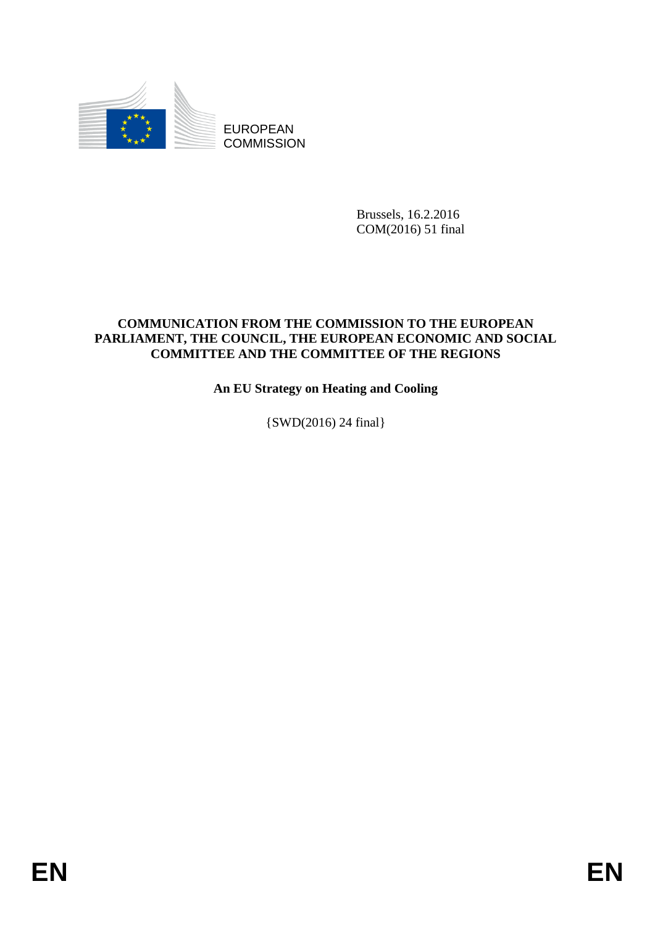

Brussels, 16.2.2016 COM(2016) 51 final

# **COMMUNICATION FROM THE COMMISSION TO THE EUROPEAN PARLIAMENT, THE COUNCIL, THE EUROPEAN ECONOMIC AND SOCIAL COMMITTEE AND THE COMMITTEE OF THE REGIONS**

**An EU Strategy on Heating and Cooling**

{SWD(2016) 24 final}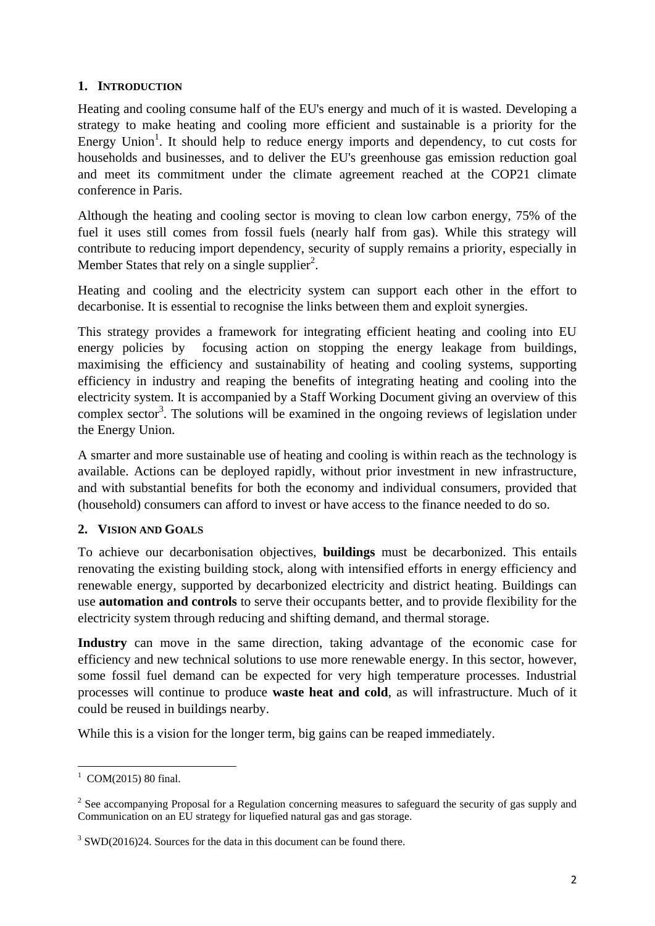# **1. INTRODUCTION**

Heating and cooling consume half of the EU's energy and much of it is wasted. Developing a strategy to make heating and cooling more efficient and sustainable is a priority for the Energy Union<sup>1</sup>. It should help to reduce energy imports and dependency, to cut costs for households and businesses, and to deliver the EU's greenhouse gas emission reduction goal and meet its commitment under the climate agreement reached at the COP21 climate conference in Paris.

Although the heating and cooling sector is moving to clean low carbon energy, 75% of the fuel it uses still comes from fossil fuels (nearly half from gas). While this strategy will contribute to reducing import dependency, security of supply remains a priority, especially in Member States that rely on a single supplier<sup>2</sup>.

Heating and cooling and the electricity system can support each other in the effort to decarbonise. It is essential to recognise the links between them and exploit synergies.

This strategy provides a framework for integrating efficient heating and cooling into EU energy policies by focusing action on stopping the energy leakage from buildings, maximising the efficiency and sustainability of heating and cooling systems, supporting efficiency in industry and reaping the benefits of integrating heating and cooling into the electricity system. It is accompanied by a Staff Working Document giving an overview of this complex sector<sup>3</sup>. The solutions will be examined in the ongoing reviews of legislation under the Energy Union.

A smarter and more sustainable use of heating and cooling is within reach as the technology is available. Actions can be deployed rapidly, without prior investment in new infrastructure, and with substantial benefits for both the economy and individual consumers, provided that (household) consumers can afford to invest or have access to the finance needed to do so.

# **2. VISION AND GOALS**

To achieve our decarbonisation objectives, **buildings** must be decarbonized. This entails renovating the existing building stock, along with intensified efforts in energy efficiency and renewable energy, supported by decarbonized electricity and district heating. Buildings can use **automation and controls** to serve their occupants better, and to provide flexibility for the electricity system through reducing and shifting demand, and thermal storage.

**Industry** can move in the same direction, taking advantage of the economic case for efficiency and new technical solutions to use more renewable energy. In this sector, however, some fossil fuel demand can be expected for very high temperature processes. Industrial processes will continue to produce **waste heat and cold**, as will infrastructure. Much of it could be reused in buildings nearby.

While this is a vision for the longer term, big gains can be reaped immediately.

 $\frac{1}{(20M)(2015)}$  80 final.

 $2^2$  See accompanying Proposal for a Regulation concerning measures to safeguard the security of gas supply and Communication on an EU strategy for liquefied natural gas and gas storage.

 $3$  SWD(2016)24. Sources for the data in this document can be found there.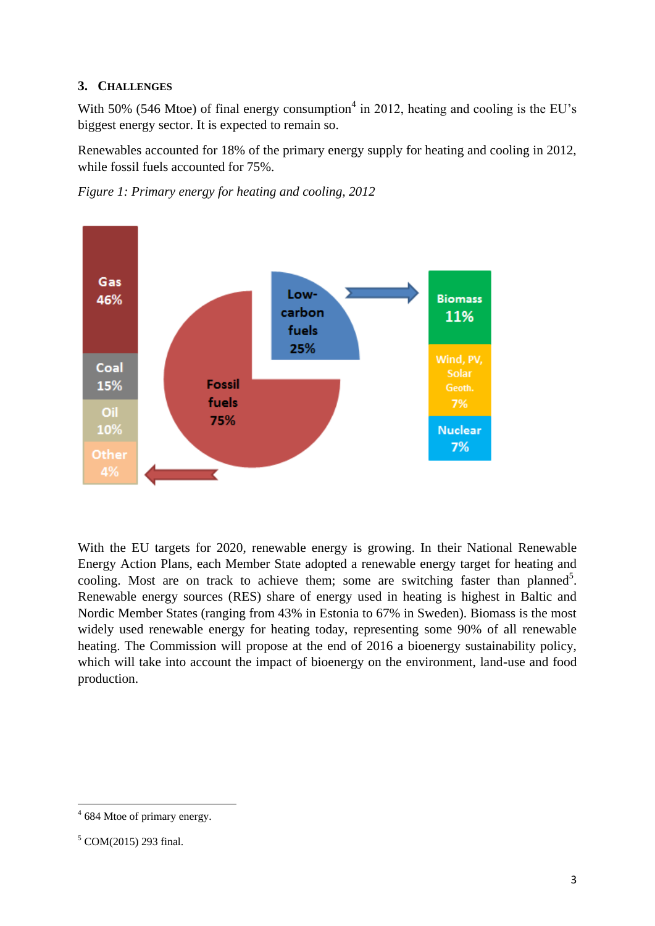# **3. CHALLENGES**

With 50% (546 Mtoe) of final energy consumption<sup>4</sup> in 2012, heating and cooling is the EU's biggest energy sector. It is expected to remain so.

Renewables accounted for 18% of the primary energy supply for heating and cooling in 2012, while fossil fuels accounted for 75%.





With the EU targets for 2020, renewable energy is growing. In their National Renewable Energy Action Plans, each Member State adopted a renewable energy target for heating and cooling. Most are on track to achieve them; some are switching faster than planned<sup>5</sup>. Renewable energy sources (RES) share of energy used in heating is highest in Baltic and Nordic Member States (ranging from 43% in Estonia to 67% in Sweden). Biomass is the most widely used renewable energy for heating today, representing some 90% of all renewable heating. The Commission will propose at the end of 2016 a bioenergy sustainability policy, which will take into account the impact of bioenergy on the environment, land-use and food production.

**<sup>.</sup>**  $4\,684$  Mtoe of primary energy.

<sup>5</sup> COM(2015) 293 final.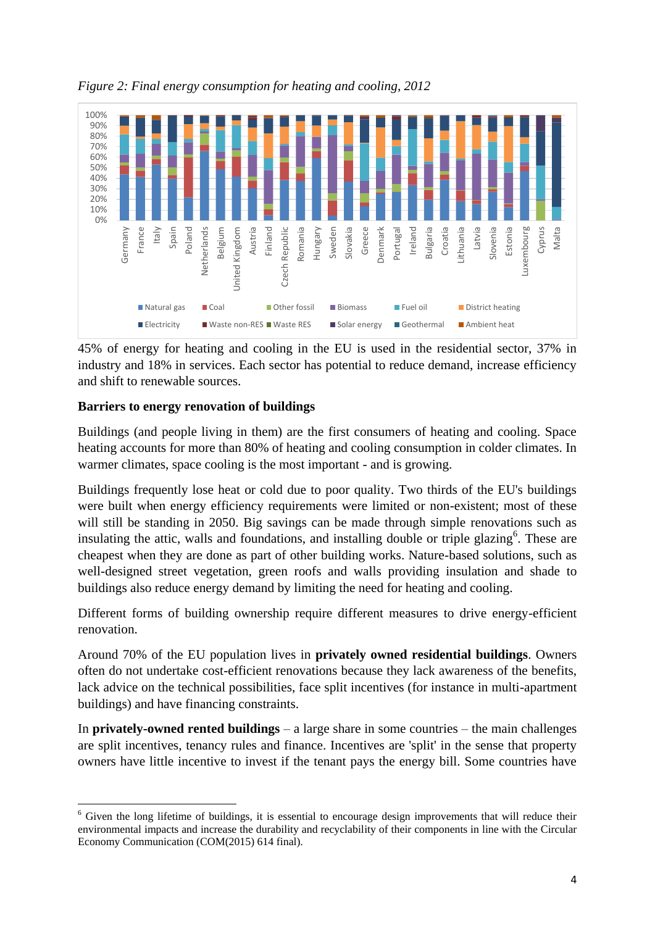

*Figure 2: Final energy consumption for heating and cooling, 2012*

45% of energy for heating and cooling in the EU is used in the residential sector, 37% in industry and 18% in services. Each sector has potential to reduce demand, increase efficiency and shift to renewable sources.

# **Barriers to energy renovation of buildings**

Buildings (and people living in them) are the first consumers of heating and cooling. Space heating accounts for more than 80% of heating and cooling consumption in colder climates. In warmer climates, space cooling is the most important - and is growing.

Buildings frequently lose heat or cold due to poor quality. Two thirds of the EU's buildings were built when energy efficiency requirements were limited or non-existent; most of these will still be standing in 2050. Big savings can be made through simple renovations such as insulating the attic, walls and foundations, and installing double or triple glazing<sup>6</sup>. These are cheapest when they are done as part of other building works. Nature-based solutions, such as well-designed street vegetation, green roofs and walls providing insulation and shade to buildings also reduce energy demand by limiting the need for heating and cooling.

Different forms of building ownership require different measures to drive energy-efficient renovation.

Around 70% of the EU population lives in **privately owned residential buildings**. Owners often do not undertake cost-efficient renovations because they lack awareness of the benefits, lack advice on the technical possibilities, face split incentives (for instance in multi-apartment buildings) and have financing constraints.

In **privately-owned rented buildings** – a large share in some countries – the main challenges are split incentives, tenancy rules and finance. Incentives are 'split' in the sense that property owners have little incentive to invest if the tenant pays the energy bill. Some countries have

**<sup>.</sup>** <sup>6</sup> Given the long lifetime of buildings, it is essential to encourage design improvements that will reduce their environmental impacts and increase the durability and recyclability of their components in line with the Circular Economy Communication (COM(2015) 614 final).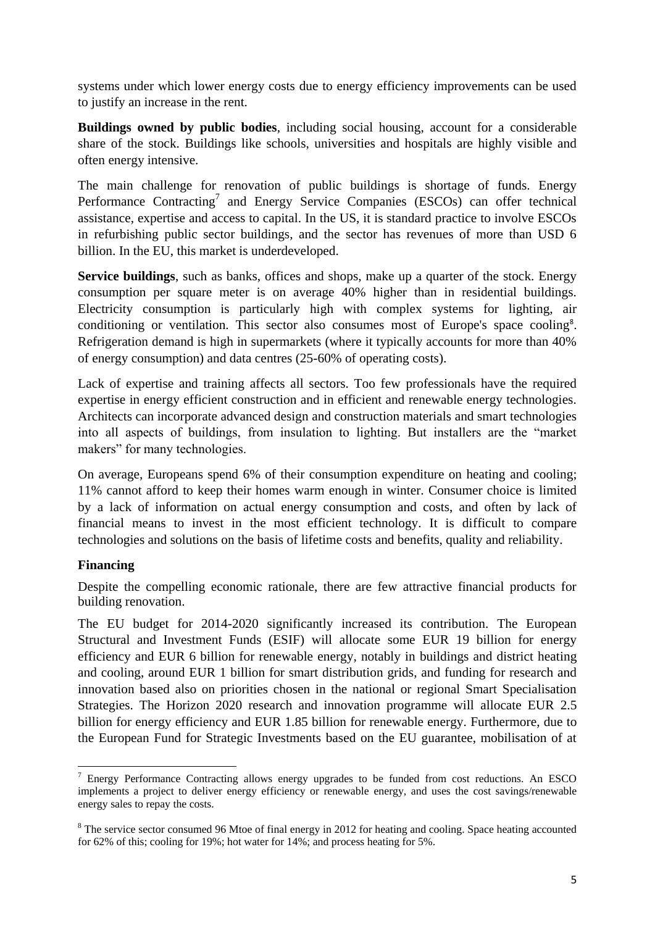systems under which lower energy costs due to energy efficiency improvements can be used to justify an increase in the rent.

**Buildings owned by public bodies**, including social housing, account for a considerable share of the stock. Buildings like schools, universities and hospitals are highly visible and often energy intensive.

The main challenge for renovation of public buildings is shortage of funds. Energy Performance Contracting<sup>7</sup> and Energy Service Companies (ESCOs) can offer technical assistance, expertise and access to capital. In the US, it is standard practice to involve ESCOs in refurbishing public sector buildings, and the sector has revenues of more than USD 6 billion. In the EU, this market is underdeveloped.

**Service buildings**, such as banks, offices and shops, make up a quarter of the stock. Energy consumption per square meter is on average 40% higher than in residential buildings. Electricity consumption is particularly high with complex systems for lighting, air conditioning or ventilation. This sector also consumes most of Europe's space cooling<sup>8</sup>. Refrigeration demand is high in supermarkets (where it typically accounts for more than 40% of energy consumption) and data centres (25-60% of operating costs).

Lack of expertise and training affects all sectors. Too few professionals have the required expertise in energy efficient construction and in efficient and renewable energy technologies. Architects can incorporate advanced design and construction materials and smart technologies into all aspects of buildings, from insulation to lighting. But installers are the "market makers" for many technologies.

On average, Europeans spend 6% of their consumption expenditure on heating and cooling; 11% cannot afford to keep their homes warm enough in winter. Consumer choice is limited by a lack of information on actual energy consumption and costs, and often by lack of financial means to invest in the most efficient technology. It is difficult to compare technologies and solutions on the basis of lifetime costs and benefits, quality and reliability.

#### **Financing**

Despite the compelling economic rationale, there are few attractive financial products for building renovation.

The EU budget for 2014-2020 significantly increased its contribution. The European Structural and Investment Funds (ESIF) will allocate some EUR 19 billion for energy efficiency and EUR 6 billion for renewable energy, notably in buildings and district heating and cooling, around EUR 1 billion for smart distribution grids, and funding for research and innovation based also on priorities chosen in the national or regional Smart Specialisation Strategies. The Horizon 2020 research and innovation programme will allocate EUR 2.5 billion for energy efficiency and EUR 1.85 billion for renewable energy. Furthermore, due to the European Fund for Strategic Investments based on the EU guarantee, mobilisation of at

**<sup>.</sup>** <sup>7</sup> Energy Performance Contracting allows energy upgrades to be funded from cost reductions. An ESCO implements a project to deliver energy efficiency or renewable energy, and uses the cost savings/renewable energy sales to repay the costs.

<sup>&</sup>lt;sup>8</sup> The service sector consumed 96 Mtoe of final energy in 2012 for heating and cooling. Space heating accounted for 62% of this; cooling for 19%; hot water for 14%; and process heating for 5%.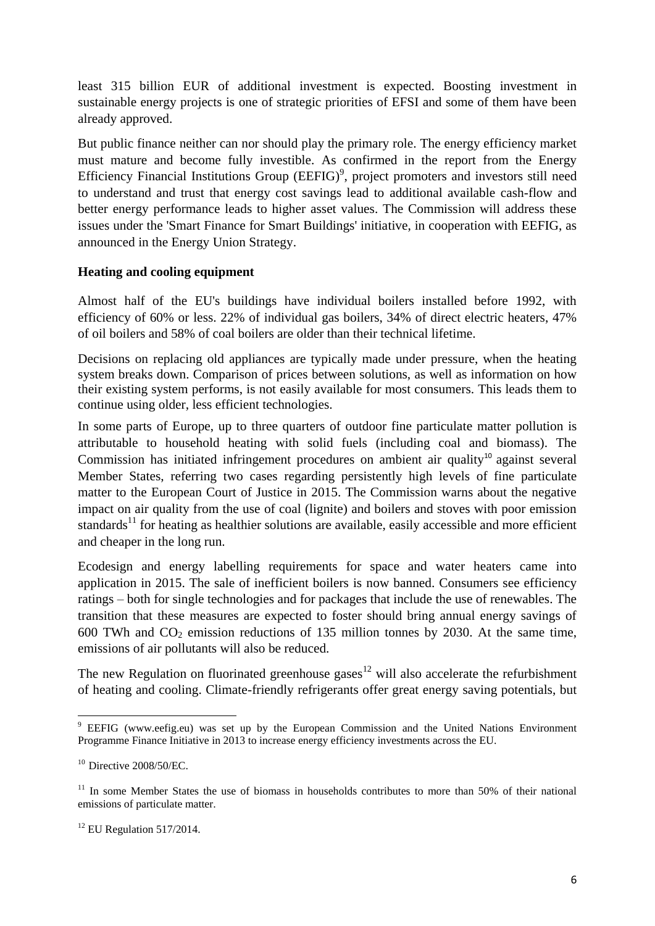least 315 billion EUR of additional investment is expected. Boosting investment in sustainable energy projects is one of strategic priorities of EFSI and some of them have been already approved.

But public finance neither can nor should play the primary role. The energy efficiency market must mature and become fully investible. As confirmed in the report from the Energy Efficiency Financial Institutions Group  $(EEFIG)^9$ , project promoters and investors still need to understand and trust that energy cost savings lead to additional available cash-flow and better energy performance leads to higher asset values. The Commission will address these issues under the 'Smart Finance for Smart Buildings' initiative, in cooperation with EEFIG, as announced in the Energy Union Strategy.

#### **Heating and cooling equipment**

Almost half of the EU's buildings have individual boilers installed before 1992, with efficiency of 60% or less. 22% of individual gas boilers, 34% of direct electric heaters, 47% of oil boilers and 58% of coal boilers are older than their technical lifetime.

Decisions on replacing old appliances are typically made under pressure, when the heating system breaks down. Comparison of prices between solutions, as well as information on how their existing system performs, is not easily available for most consumers. This leads them to continue using older, less efficient technologies.

In some parts of Europe, up to three quarters of outdoor fine particulate matter pollution is attributable to household heating with solid fuels (including coal and biomass). The Commission has initiated infringement procedures on ambient air quality<sup>10</sup> against several Member States, referring two cases regarding persistently high levels of fine particulate matter to the European Court of Justice in 2015. The Commission warns about the negative impact on air quality from the use of coal (lignite) and boilers and stoves with poor emission standards<sup>11</sup> for heating as healthier solutions are available, easily accessible and more efficient and cheaper in the long run.

Ecodesign and energy labelling requirements for space and water heaters came into application in 2015. The sale of inefficient boilers is now banned. Consumers see efficiency ratings – both for single technologies and for packages that include the use of renewables. The transition that these measures are expected to foster should bring annual energy savings of 600 TWh and  $CO<sub>2</sub>$  emission reductions of 135 million tonnes by 2030. At the same time, emissions of air pollutants will also be reduced.

The new Regulation on fluorinated greenhouse gases<sup>12</sup> will also accelerate the refurbishment of heating and cooling. Climate-friendly refrigerants offer great energy saving potentials, but

**<sup>.</sup>** <sup>9</sup> [EEFIG](https://ec.europa.eu/energy/en/news/new-report-boosting-finance-energy-efficiency-investments-buildings-industry-and-smes) [\(www.eefig.eu\)](http://www.eefig.eu/) was set up by the European Commission and the United Nations Environment Programme Finance Initiative in 2013 to increase energy efficiency investments across the EU.

 $10$  [Directive 2008/50/EC.](http://eur-lex.europa.eu/legal-content/en/ALL/?uri=CELEX:32008L0050)

 $11$  In some Member States the use of biomass in households contributes to more than 50% of their national emissions of particulate matter.

 $12$  EU Regulation 517/2014.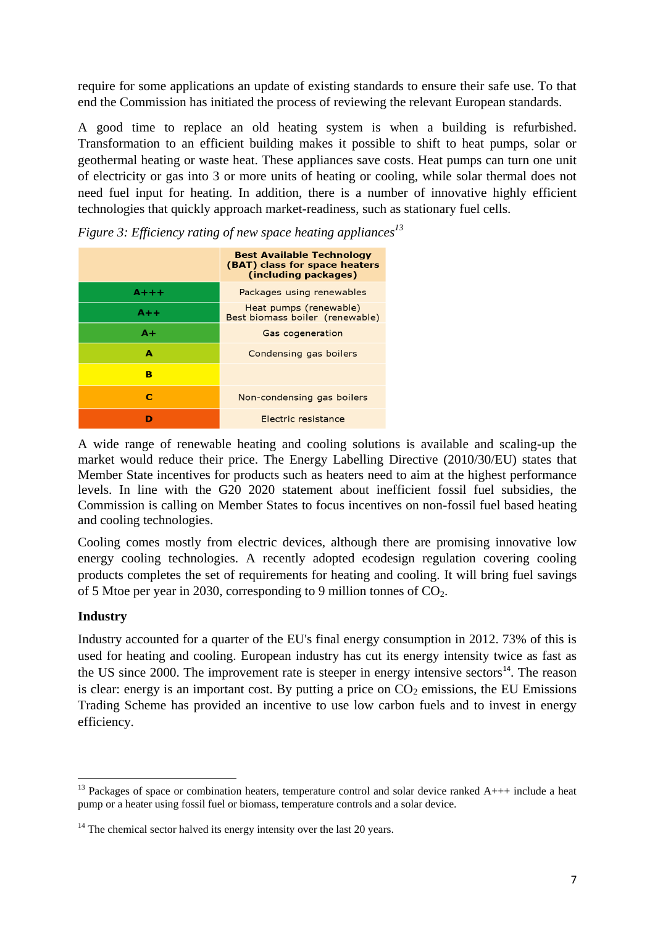require for some applications an update of existing standards to ensure their safe use. To that end the Commission has initiated the process of reviewing the relevant European standards.

A good time to replace an old heating system is when a building is refurbished. Transformation to an efficient building makes it possible to shift to heat pumps, solar or geothermal heating or waste heat. These appliances save costs. Heat pumps can turn one unit of electricity or gas into 3 or more units of heating or cooling, while solar thermal does not need fuel input for heating. In addition, there is a number of innovative highly efficient technologies that quickly approach market-readiness, such as stationary fuel cells.

|           | <b>Best Available Technology</b><br>(BAT) class for space heaters<br>(including packages) |
|-----------|-------------------------------------------------------------------------------------------|
| $A + + +$ | Packages using renewables                                                                 |
| $A++$     | Heat pumps (renewable)<br>Best biomass boiler (renewable)                                 |
| A+        | Gas cogeneration                                                                          |
| A         | Condensing gas boilers                                                                    |
| в         |                                                                                           |
| с         | Non-condensing gas boilers                                                                |
|           | Electric resistance                                                                       |

*Figure 3: Efficiency rating of new space heating appliances<sup>13</sup>*

A wide range of renewable heating and cooling solutions is available and scaling-up the market would reduce their price. The Energy Labelling Directive (2010/30/EU) states that Member State incentives for products such as heaters need to aim at the highest performance levels. In line with the G20 2020 statement about inefficient fossil fuel subsidies, the Commission is calling on Member States to focus incentives on non-fossil fuel based heating and cooling technologies.

Cooling comes mostly from electric devices, although there are promising innovative low energy cooling technologies. A recently adopted ecodesign regulation covering cooling products completes the set of requirements for heating and cooling. It will bring fuel savings of 5 Mtoe per year in 2030, corresponding to 9 million tonnes of  $CO<sub>2</sub>$ .

#### **Industry**

Industry accounted for a quarter of the EU's final energy consumption in 2012. 73% of this is used for heating and cooling. European industry has cut its energy intensity twice as fast as the US since 2000. The improvement rate is steeper in energy intensive sectors $14$ . The reason is clear: energy is an important cost. By putting a price on  $CO<sub>2</sub>$  emissions, the EU Emissions Trading Scheme has provided an incentive to use low carbon fuels and to invest in energy efficiency.

<sup>1</sup>  $13$  Packages of space or combination heaters, temperature control and solar device ranked  $A++$  include a heat pump or a heater using fossil fuel or biomass, temperature controls and a solar device.

 $14$  The chemical sector halved its energy intensity over the last 20 years.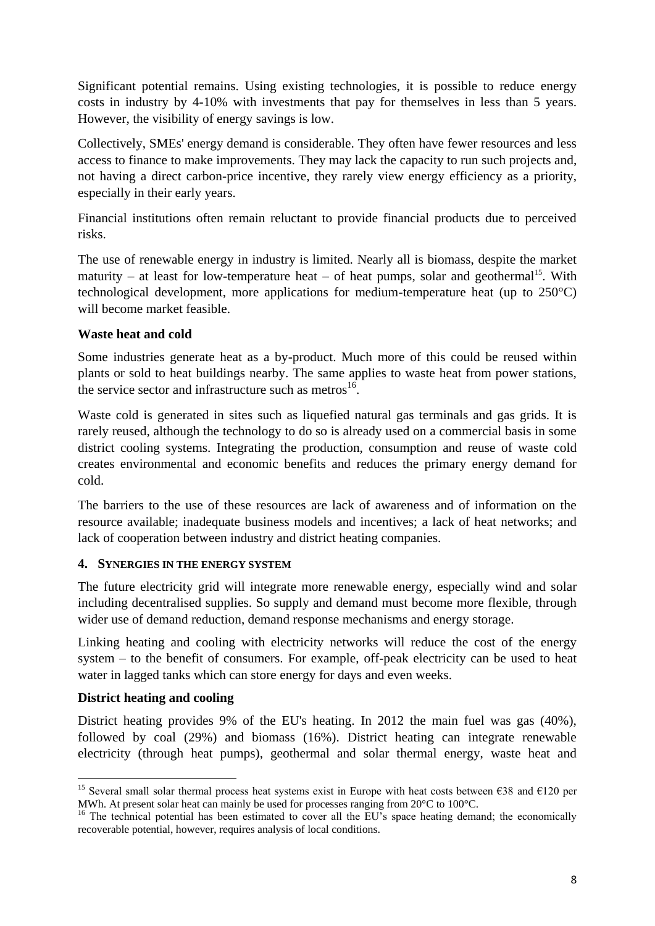Significant potential remains. Using existing technologies, it is possible to reduce energy costs in industry by 4-10% with investments that pay for themselves in less than 5 years. However, the visibility of energy savings is low.

Collectively, SMEs' energy demand is considerable. They often have fewer resources and less access to finance to make improvements. They may lack the capacity to run such projects and, not having a direct carbon-price incentive, they rarely view energy efficiency as a priority, especially in their early years.

Financial institutions often remain reluctant to provide financial products due to perceived risks.

The use of renewable energy in industry is limited. Nearly all is biomass, despite the market maturity – at least for low-temperature heat – of heat pumps, solar and geothermal<sup>15</sup>. With technological development, more applications for medium-temperature heat (up to 250°C) will become market feasible.

#### **Waste heat and cold**

Some industries generate heat as a by-product. Much more of this could be reused within plants or sold to heat buildings nearby. The same applies to waste heat from power stations, the service sector and infrastructure such as metros<sup>16</sup>.

Waste cold is generated in sites such as liquefied natural gas terminals and gas grids. It is rarely reused, although the technology to do so is already used on a commercial basis in some district cooling systems. Integrating the production, consumption and reuse of waste cold creates environmental and economic benefits and reduces the primary energy demand for cold.

The barriers to the use of these resources are lack of awareness and of information on the resource available; inadequate business models and incentives; a lack of heat networks; and lack of cooperation between industry and district heating companies.

#### **4. SYNERGIES IN THE ENERGY SYSTEM**

The future electricity grid will integrate more renewable energy, especially wind and solar including decentralised supplies. So supply and demand must become more flexible, through wider use of demand reduction, demand response mechanisms and energy storage.

Linking heating and cooling with electricity networks will reduce the cost of the energy system – to the benefit of consumers. For example, off-peak electricity can be used to heat water in lagged tanks which can store energy for days and even weeks.

#### **District heating and cooling**

District heating provides 9% of the EU's heating. In 2012 the main fuel was gas (40%), followed by coal (29%) and biomass (16%). District heating can integrate renewable electricity (through heat pumps), geothermal and solar thermal energy, waste heat and

<sup>1</sup> <sup>15</sup> Several small solar thermal process heat systems exist in Europe with heat costs between  $\epsilon$ 38 and  $\epsilon$ 120 per MWh. At present solar heat can mainly be used for processes ranging from 20°C to 100°C.

<sup>&</sup>lt;sup>16</sup> The technical potential has been estimated to cover all the EU's space heating demand; the economically recoverable potential, however, requires analysis of local conditions.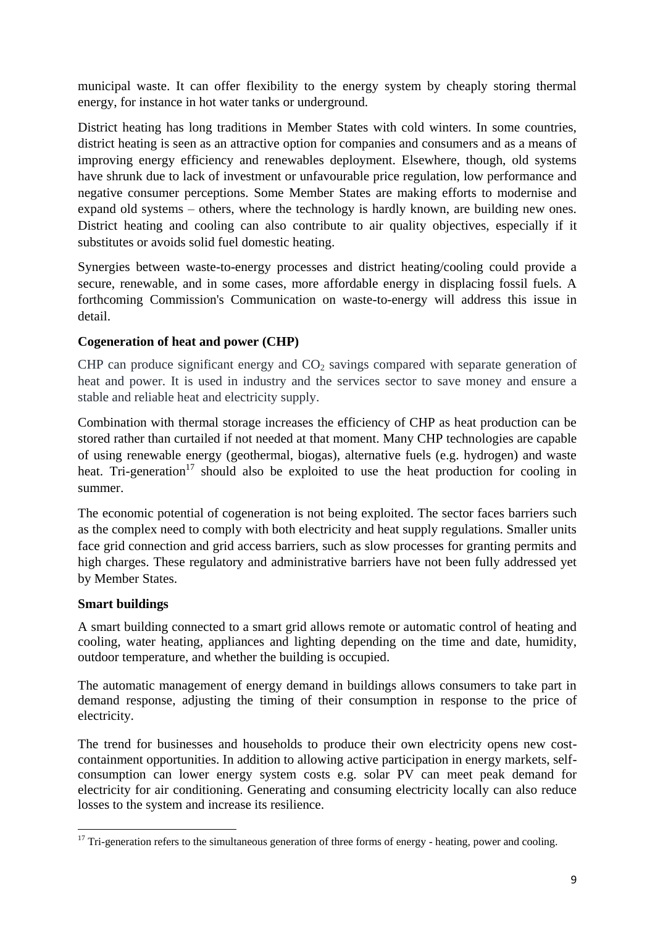municipal waste. It can offer flexibility to the energy system by cheaply storing thermal energy, for instance in hot water tanks or underground.

District heating has long traditions in Member States with cold winters. In some countries, district heating is seen as an attractive option for companies and consumers and as a means of improving energy efficiency and renewables deployment. Elsewhere, though, old systems have shrunk due to lack of investment or unfavourable price regulation, low performance and negative consumer perceptions. Some Member States are making efforts to modernise and expand old systems – others, where the technology is hardly known, are building new ones. District heating and cooling can also contribute to air quality objectives, especially if it substitutes or avoids solid fuel domestic heating.

Synergies between waste-to-energy processes and district heating/cooling could provide a secure, renewable, and in some cases, more affordable energy in displacing fossil fuels. A forthcoming Commission's Communication on waste-to-energy will address this issue in detail.

# **Cogeneration of heat and power (CHP)**

CHP can produce significant energy and  $CO<sub>2</sub>$  savings compared with separate generation of heat and power. It is used in industry and the services sector to save money and ensure a stable and reliable heat and electricity supply.

Combination with thermal storage increases the efficiency of CHP as heat production can be stored rather than curtailed if not needed at that moment. Many CHP technologies are capable of using renewable energy (geothermal, biogas), alternative fuels (e.g. hydrogen) and waste heat. Tri-generation<sup>17</sup> should also be exploited to use the heat production for cooling in summer.

The economic potential of cogeneration is not being exploited. The sector faces barriers such as the complex need to comply with both electricity and heat supply regulations. Smaller units face grid connection and grid access barriers, such as slow processes for granting permits and high charges. These regulatory and administrative barriers have not been fully addressed yet by Member States.

#### **Smart buildings**

A smart building connected to a smart grid allows remote or automatic control of heating and cooling, water heating, appliances and lighting depending on the time and date, humidity, outdoor temperature, and whether the building is occupied.

The automatic management of energy demand in buildings allows consumers to take part in demand response, adjusting the timing of their consumption in response to the price of electricity.

The trend for businesses and households to produce their own electricity opens new costcontainment opportunities. In addition to allowing active participation in energy markets, selfconsumption can lower energy system costs e.g. solar PV can meet peak demand for electricity for air conditioning. Generating and consuming electricity locally can also reduce losses to the system and increase its resilience.

**<sup>.</sup>**  $17$  Tri-generation refers to the simultaneous generation of three forms of energy - heating, power and cooling.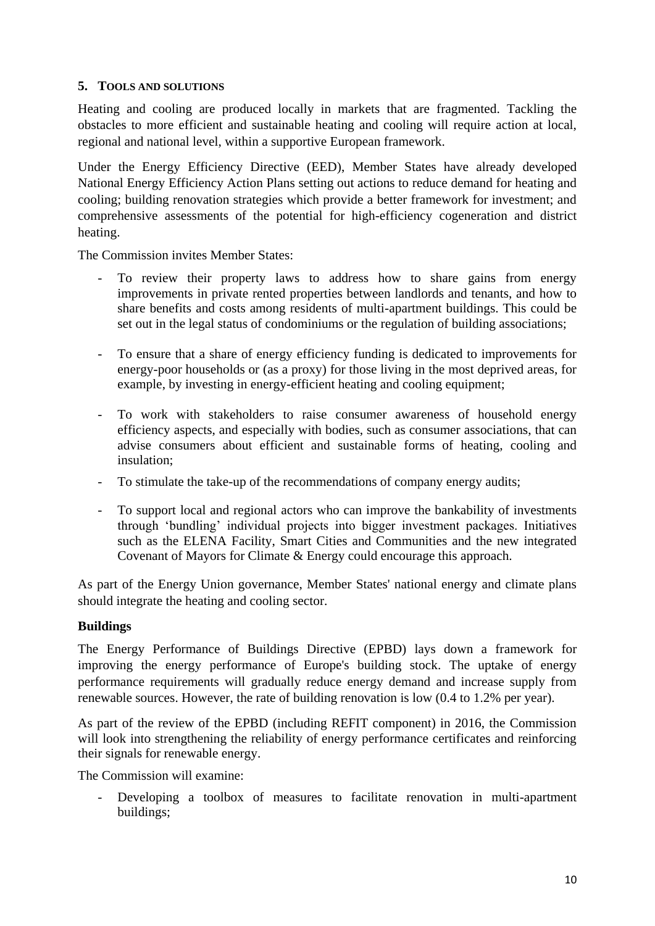#### **5. TOOLS AND SOLUTIONS**

Heating and cooling are produced locally in markets that are fragmented. Tackling the obstacles to more efficient and sustainable heating and cooling will require action at local, regional and national level, within a supportive European framework.

Under the Energy Efficiency Directive (EED), Member States have already developed National Energy Efficiency Action Plans setting out actions to reduce demand for heating and cooling; building renovation strategies which provide a better framework for investment; and comprehensive assessments of the potential for high-efficiency cogeneration and district heating.

The Commission invites Member States:

- To review their property laws to address how to share gains from energy improvements in private rented properties between landlords and tenants, and how to share benefits and costs among residents of multi-apartment buildings. This could be set out in the legal status of condominiums or the regulation of building associations;
- To ensure that a share of energy efficiency funding is dedicated to improvements for energy-poor households or (as a proxy) for those living in the most deprived areas, for example, by investing in energy-efficient heating and cooling equipment;
- To work with stakeholders to raise consumer awareness of household energy efficiency aspects, and especially with bodies, such as consumer associations, that can advise consumers about efficient and sustainable forms of heating, cooling and insulation;
- To stimulate the take-up of the recommendations of company energy audits;
- To support local and regional actors who can improve the bankability of investments through 'bundling' individual projects into bigger investment packages. Initiatives such as the ELENA Facility, Smart Cities and Communities and the new integrated Covenant of Mayors for Climate & Energy could encourage this approach.

As part of the Energy Union governance, Member States' national energy and climate plans should integrate the heating and cooling sector.

#### **Buildings**

The Energy Performance of Buildings Directive (EPBD) lays down a framework for improving the energy performance of Europe's building stock. The uptake of energy performance requirements will gradually reduce energy demand and increase supply from renewable sources. However, the rate of building renovation is low (0.4 to 1.2% per year).

As part of the review of the EPBD (including REFIT component) in 2016, the Commission will look into strengthening the reliability of energy performance certificates and reinforcing their signals for renewable energy.

The Commission will examine:

Developing a toolbox of measures to facilitate renovation in multi-apartment buildings;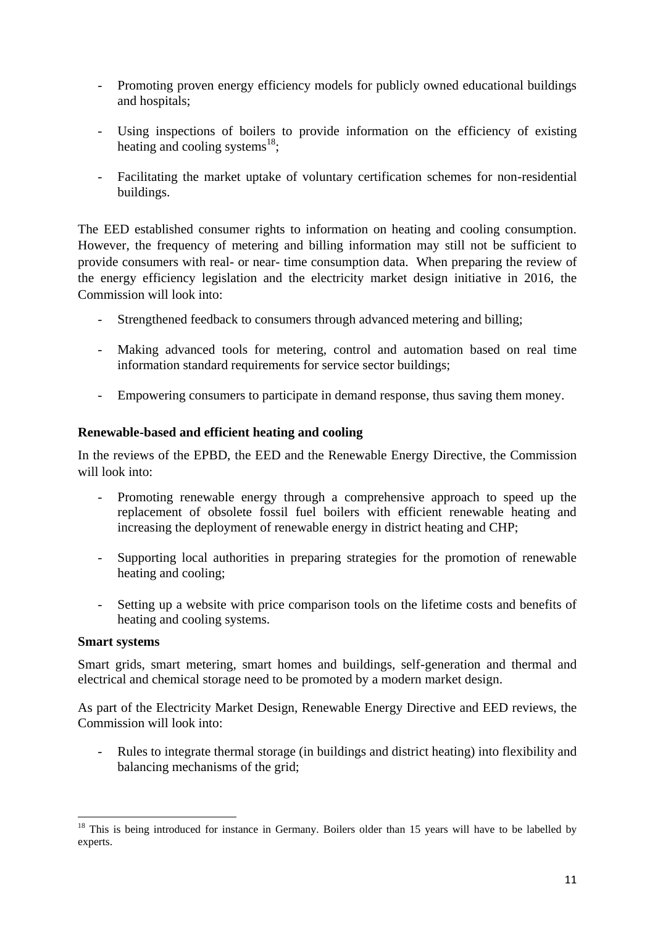- Promoting proven energy efficiency models for publicly owned educational buildings and hospitals;
- Using inspections of boilers to provide information on the efficiency of existing heating and cooling systems $^{18}$ ;
- Facilitating the market uptake of voluntary certification schemes for non-residential buildings.

The EED established consumer rights to information on heating and cooling consumption. However, the frequency of metering and billing information may still not be sufficient to provide consumers with real- or near- time consumption data. When preparing the review of the energy efficiency legislation and the electricity market design initiative in 2016, the Commission will look into:

- Strengthened feedback to consumers through advanced metering and billing;
- Making advanced tools for metering, control and automation based on real time information standard requirements for service sector buildings;
- Empowering consumers to participate in demand response, thus saving them money.

# **Renewable-based and efficient heating and cooling**

In the reviews of the EPBD, the EED and the Renewable Energy Directive, the Commission will look into:

- Promoting renewable energy through a comprehensive approach to speed up the replacement of obsolete fossil fuel boilers with efficient renewable heating and increasing the deployment of renewable energy in district heating and CHP;
- Supporting local authorities in preparing strategies for the promotion of renewable heating and cooling;
- Setting up a website with price comparison tools on the lifetime costs and benefits of heating and cooling systems.

#### **Smart systems**

Smart grids, smart metering, smart homes and buildings, self-generation and thermal and electrical and chemical storage need to be promoted by a modern market design.

As part of the Electricity Market Design, Renewable Energy Directive and EED reviews, the Commission will look into:

- Rules to integrate thermal storage (in buildings and district heating) into flexibility and balancing mechanisms of the grid;

<sup>1</sup> <sup>18</sup> This is being introduced for instance in Germany. Boilers older than 15 years will have to be labelled by experts.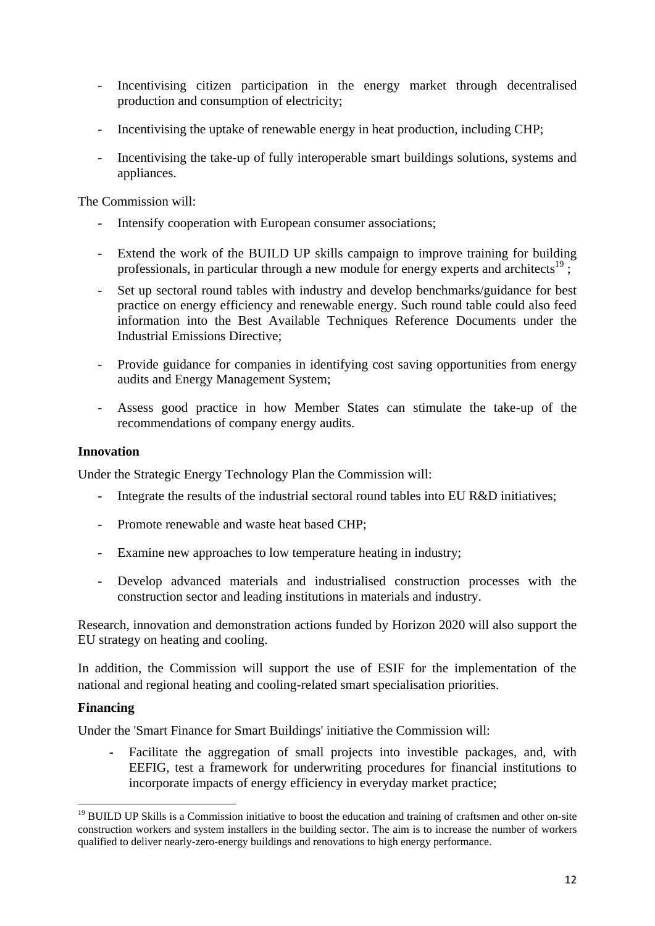- Incentivising citizen participation in the energy market through decentralised production and consumption of electricity;
- Incentivising the uptake of renewable energy in heat production, including CHP;
- Incentivising the take-up of fully interoperable smart buildings solutions, systems and appliances.

The Commission will:

- Intensify cooperation with European consumer associations;
- Extend the work of the BUILD UP skills campaign to improve training for building professionals, in particular through a new module for energy experts and architects<sup>19</sup>;
- Set up sectoral round tables with industry and develop benchmarks/guidance for best practice on energy efficiency and renewable energy. Such round table could also feed information into the Best Available Techniques Reference Documents under the Industrial Emissions Directive;
- Provide guidance for companies in identifying cost saving opportunities from energy audits and Energy Management System;
- Assess good practice in how Member States can stimulate the take-up of the recommendations of company energy audits.

#### **Innovation**

Under the Strategic Energy Technology Plan the Commission will:

- Integrate the results of the industrial sectoral round tables into EU R&D initiatives;
- Promote renewable and waste heat based CHP;
- Examine new approaches to low temperature heating in industry;
- Develop advanced materials and industrialised construction processes with the construction sector and leading institutions in materials and industry.

Research, innovation and demonstration actions funded by Horizon 2020 will also support the EU strategy on heating and cooling.

In addition, the Commission will support the use of ESIF for the implementation of the national and regional heating and cooling-related smart specialisation priorities.

#### **Financing**

**.** 

Under the 'Smart Finance for Smart Buildings' initiative the Commission will:

- Facilitate the aggregation of small projects into investible packages, and, with EEFIG, test a framework for underwriting procedures for financial institutions to incorporate impacts of energy efficiency in everyday market practice;

<sup>&</sup>lt;sup>19</sup> [BUILD UP Skills](http://www.buildupskills.eu/) is a Commission initiative to boost the education and training of craftsmen and other on-site construction workers and system installers in the building sector. The aim is to increase the number of workers qualified to deliver nearly-zero-energy buildings and renovations to high energy performance.